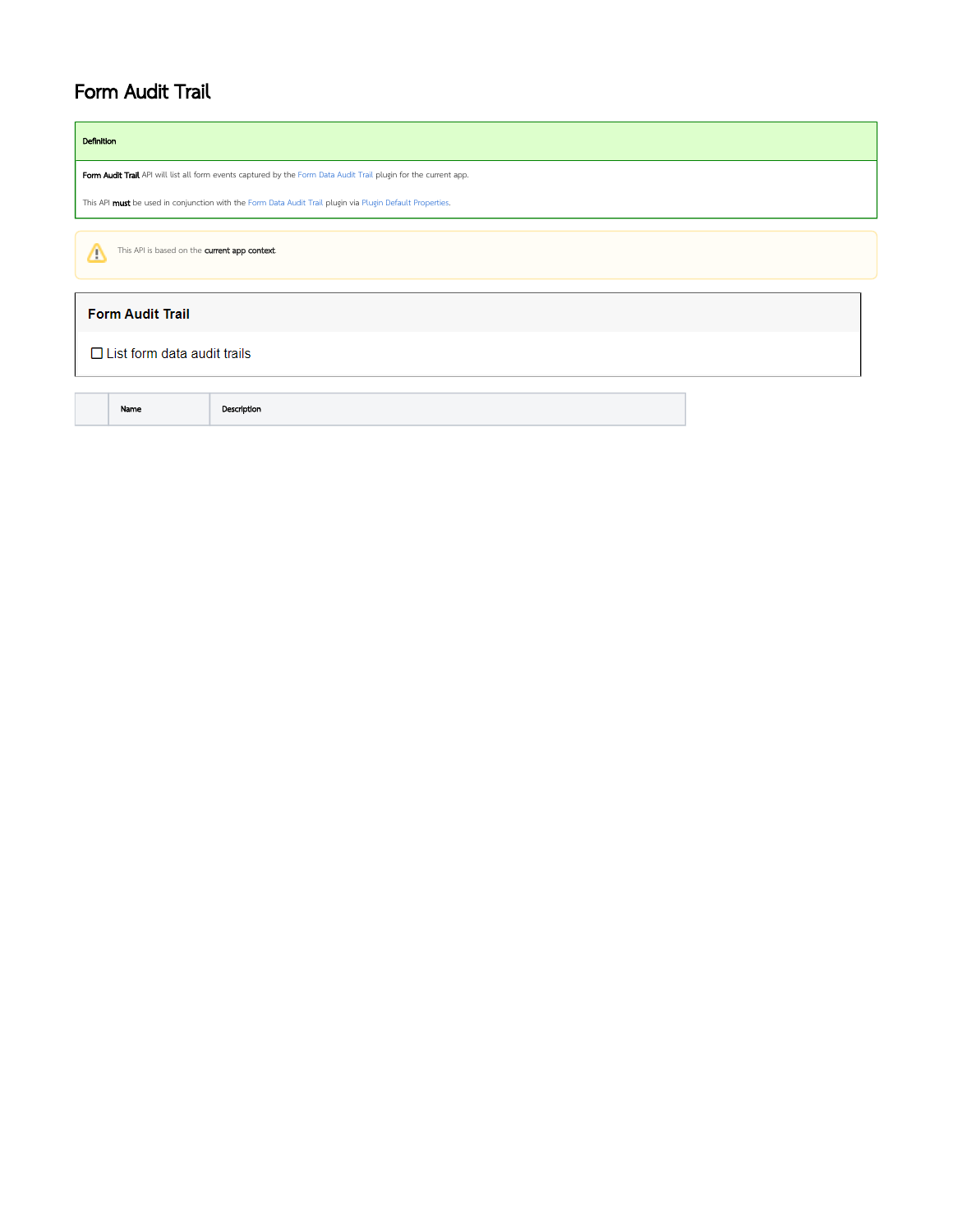## Form Audit Trail